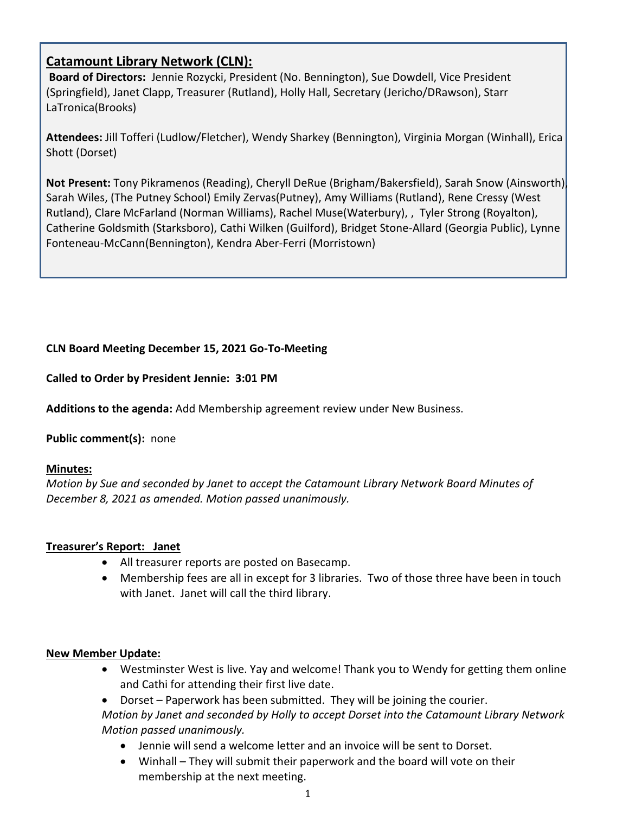# **Catamount Library Network (CLN):**

**Board of Directors:** Jennie Rozycki, President (No. Bennington), Sue Dowdell, Vice President (Springfield), Janet Clapp, Treasurer (Rutland), Holly Hall, Secretary (Jericho/DRawson), Starr LaTronica(Brooks)

**Attendees:** Jill Tofferi (Ludlow/Fletcher), Wendy Sharkey (Bennington), Virginia Morgan (Winhall), Erica Shott (Dorset)

**Not Present:** Tony Pikramenos (Reading), Cheryll DeRue (Brigham/Bakersfield), Sarah Snow (Ainsworth), Sarah Wiles, (The Putney School) Emily Zervas(Putney), Amy Williams (Rutland), Rene Cressy (West Rutland), Clare McFarland (Norman Williams), Rachel Muse(Waterbury), , Tyler Strong (Royalton), Catherine Goldsmith (Starksboro), Cathi Wilken (Guilford), Bridget Stone-Allard (Georgia Public), Lynne Fonteneau-McCann(Bennington), Kendra Aber-Ferri (Morristown)

## **CLN Board Meeting December 15, 2021 Go-To-Meeting**

**Called to Order by President Jennie: 3:01 PM**

**Additions to the agenda:** Add Membership agreement review under New Business.

**Public comment(s):** none

### **Minutes:**

*Motion by Sue and seconded by Janet to accept the Catamount Library Network Board Minutes of December 8, 2021 as amended. Motion passed unanimously.*

### **Treasurer's Report: Janet**

- All treasurer reports are posted on Basecamp.
- Membership fees are all in except for 3 libraries. Two of those three have been in touch with Janet. Janet will call the third library.

### **New Member Update:**

- Westminster West is live. Yay and welcome! Thank you to Wendy for getting them online and Cathi for attending their first live date.
- Dorset Paperwork has been submitted. They will be joining the courier. *Motion by Janet and seconded by Holly to accept Dorset into the Catamount Library Network Motion passed unanimously.* 
	- Jennie will send a welcome letter and an invoice will be sent to Dorset.
	- Winhall They will submit their paperwork and the board will vote on their membership at the next meeting.